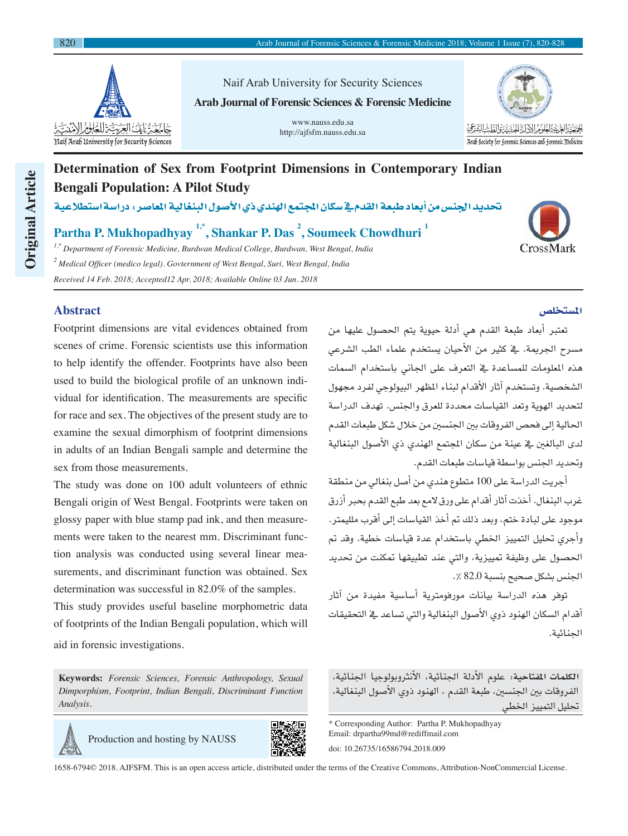

Naif Arab University for Security Sciences **Arab Journal of Forensic Sciences & Forensic Medicine**

> www.nauss.edu.sa http://ajfsfm.nauss.edu.sa



# **Determination of Sex from Footprint Dimensions in Contemporary Indian Bengali Population: A Pilot Study**

تحديد الجنس من أبعاد طبعة القدم ية سكان المجتمع الهندي ذي الأصول البنغالية الماصر: دراسةاستطلاعية

**Partha P. Mukhopadhyay 1,\*, Shankar P. Das <sup>2</sup> , Soumeek Chowdhuri <sup>1</sup>**

*1,\* Department of Forensic Medicine, Burdwan Medical College, Burdwan, West Bengal, India <sup>2</sup>Medical Officer (medico legal). Govternment of West Bengal, Suri, West Bengal, India Received 14 Feb. 2018; Accepted12 Apr. 2018; Available Online 03 Jun. 2018*

## **Abstract**

**Original Article**

**Original Article** 

Footprint dimensions are vital evidences obtained from scenes of crime. Forensic scientists use this information to help identify the offender. Footprints have also been used to build the biological profile of an unknown individual for identification. The measurements are specific for race and sex. The objectives of the present study are to examine the sexual dimorphism of footprint dimensions in adults of an Indian Bengali sample and determine the sex from those measurements.

The study was done on 100 adult volunteers of ethnic Bengali origin of West Bengal. Footprints were taken on glossy paper with blue stamp pad ink, and then measurements were taken to the nearest mm. Discriminant function analysis was conducted using several linear measurements, and discriminant function was obtained. Sex determination was successful in 82.0% of the samples.

This study provides useful baseline morphometric data of footprints of the Indian Bengali population, which will aid in forensic investigations.

**Keywords:** *Forensic Sciences, Forensic Anthropology, Sexual Dimporphism, Footprint, Indian Bengali, Discriminant Function Analysis.*





1658-6794© 2018. AJFSFM. This is an open access article, distributed under the terms of the Creative Commons, Attribution-NonCommercial License.

#### المستخلص

تعتبر أبعاد طبعة القدم هي أدلة حيوية يتم الحصول عليها من مسرح الجريمة. يف كثير من الأحيان يستخدم علماء الطب الشرعي هذه المعلومات للمساعدة يخ التعرف على الجاني باستخدام السمات الشخصية. وتستخدم آثار الأقدام لبناء الظهر البيولوجي لفرد مجهول لتحديد الهوية وتعد القياسات محددة للعرق والجنس. تهدف الدراسة الحالية إلى فحص الفروقات بين الجنسين من خلال شكل طبعات القدم لدى البالغني يف عينة من �صكان املجتمع الهندي ذي الأ�صول البنغالية وتحديد الجنس بواسطة قياسات طبعات القدم.

اأجريت الدرا�صة على 100 متطوع هندي من اأ�صل بنغايل من منطقة غرب البنغال. أخذت آثار أقدام على ورق لامع بعد طبع القدم بحبر أزرق موجود على لبادة ختم، وبعد ذلك تم أخذ القياسات إلى أفرب ملليمتر. وأجرى تحليل التمييز الخطي باستخدام عدة قياسات خطية. وقد تم الحصول على وظيفة تمييزية، والتي عند تطبيقها تمكنت من تحديد الجنس بشكل صحيح بنسبة 82.0 ٪.

توفر هذه الدراسة بيانات مورفومترية أساسية مفيدة من آثار اأقدام ال�صكان الهنود ذوي الأ�صول البنغالية والتي ت�صاعد يف التحقيقات اجلنائية.

**الكلمات املفتاحية:** علوم الأدلة اجلنائية، الأنرثوبولوجيا اجلنائية، الفروقات بين الجنسين، طبعة القدم ، الهنود ذوي الأصول البنغالية، تحليل التمييز الخطى

\* Corresponding Author: Partha P. Mukhopadhyay Email: drpartha99md@rediffmail.com doi: 10.26735/16586794.2018.009

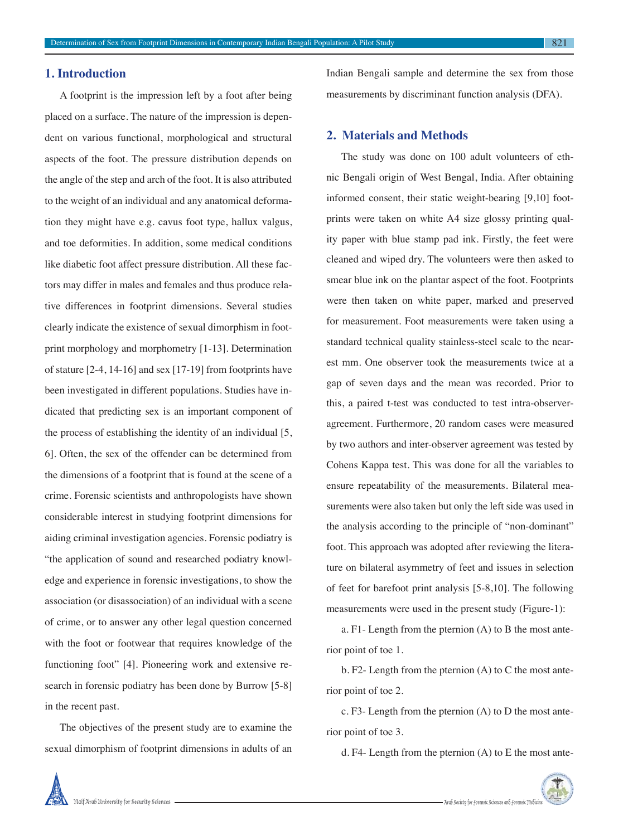#### **1. Introduction**

A footprint is the impression left by a foot after being placed on a surface. The nature of the impression is dependent on various functional, morphological and structural aspects of the foot. The pressure distribution depends on the angle of the step and arch of the foot. It is also attributed to the weight of an individual and any anatomical deformation they might have e.g. cavus foot type, hallux valgus, and toe deformities. In addition, some medical conditions like diabetic foot affect pressure distribution. All these factors may differ in males and females and thus produce relative differences in footprint dimensions. Several studies clearly indicate the existence of sexual dimorphism in footprint morphology and morphometry [1-13]. Determination of stature [2-4, 14-16] and sex [17-19] from footprints have been investigated in different populations. Studies have indicated that predicting sex is an important component of the process of establishing the identity of an individual [5, 6]. Often, the sex of the offender can be determined from the dimensions of a footprint that is found at the scene of a crime. Forensic scientists and anthropologists have shown considerable interest in studying footprint dimensions for aiding criminal investigation agencies. Forensic podiatry is "the application of sound and researched podiatry knowledge and experience in forensic investigations, to show the association (or disassociation) of an individual with a scene of crime, or to answer any other legal question concerned with the foot or footwear that requires knowledge of the functioning foot" [4]. Pioneering work and extensive research in forensic podiatry has been done by Burrow [5-8] in the recent past.

The objectives of the present study are to examine the sexual dimorphism of footprint dimensions in adults of an Indian Bengali sample and determine the sex from those measurements by discriminant function analysis (DFA).

#### **2. Materials and Methods**

The study was done on 100 adult volunteers of ethnic Bengali origin of West Bengal, India. After obtaining informed consent, their static weight-bearing [9,10] footprints were taken on white A4 size glossy printing quality paper with blue stamp pad ink. Firstly, the feet were cleaned and wiped dry. The volunteers were then asked to smear blue ink on the plantar aspect of the foot. Footprints were then taken on white paper, marked and preserved for measurement. Foot measurements were taken using a standard technical quality stainless-steel scale to the nearest mm. One observer took the measurements twice at a gap of seven days and the mean was recorded. Prior to this, a paired t-test was conducted to test intra-observeragreement. Furthermore, 20 random cases were measured by two authors and inter-observer agreement was tested by Cohens Kappa test. This was done for all the variables to ensure repeatability of the measurements. Bilateral measurements were also taken but only the left side was used in the analysis according to the principle of "non-dominant" foot. This approach was adopted after reviewing the literature on bilateral asymmetry of feet and issues in selection of feet for barefoot print analysis [5-8,10]. The following measurements were used in the present study (Figure-1):

a. F1- Length from the pternion (A) to B the most anterior point of toe 1.

b. F2- Length from the pternion (A) to C the most anterior point of toe 2.

c. F3- Length from the pternion (A) to D the most anterior point of toe 3.

d. F4- Length from the pternion (A) to E the most ante-

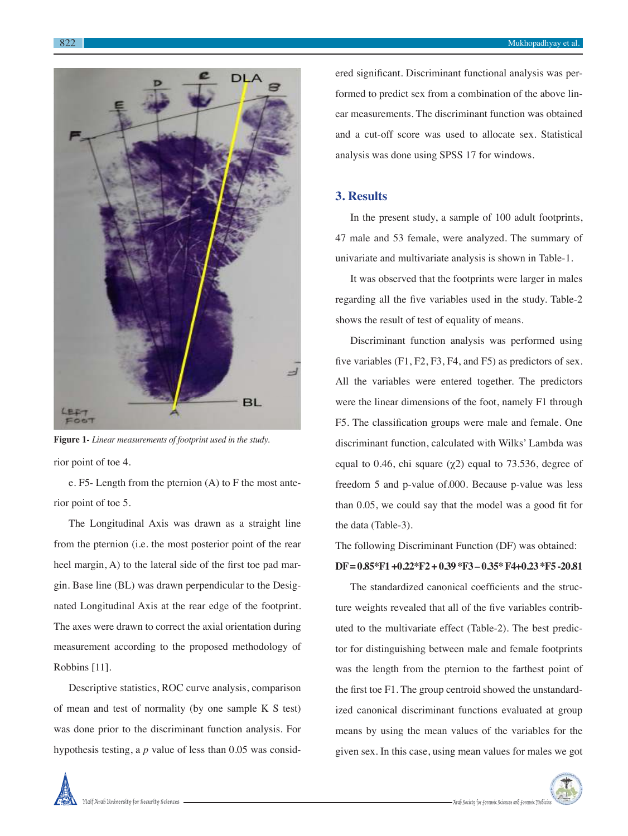

ered significant. Discriminant functional analysis was performed to predict sex from a combination of the above linear measurements. The discriminant function was obtained and a cut-off score was used to allocate sex. Statistical analysis was done using SPSS 17 for windows.

#### **3. Results**

In the present study, a sample of 100 adult footprints, 47 male and 53 female, were analyzed. The summary of univariate and multivariate analysis is shown in Table-1.

It was observed that the footprints were larger in males regarding all the five variables used in the study. Table-2 shows the result of test of equality of means.

Discriminant function analysis was performed using five variables (F1, F2, F3, F4, and F5) as predictors of sex. All the variables were entered together. The predictors were the linear dimensions of the foot, namely F1 through F5. The classification groups were male and female. One ted with Wilks' Lambda was

> $\mu$  equal to 73.536, degree of ). Because p-value was less he model was a good fit for

from the pternion (i.e. the most posterior point of the rear heel margin, A) to the lateral side of the first toe pad margin. Base line (BL) was drawn perpendicular to the Designated Longitudinal Axis at the rear edge of the footprint. The axes were drawn to correct the axial orientation during measurement according to the proposed methodology of Robbins [11].

Descriptive statistics, ROC curve analysis, comparison of mean and test of normality (by one sample K S test) was done prior to the discriminant function analysis. For hypothesis testing, a *p* value of less than 0.05 was consid-

# The following Discriminant Function (DF) was obtained: **DF = 0.85\*F1 +0.22\*F2 + 0.39 \*F3 – 0.35\* F4+0.23 \*F5 -20.81**

The standardized canonical coefficients and the structure weights revealed that all of the five variables contributed to the multivariate effect (Table-2). The best predictor for distinguishing between male and female footprints was the length from the pternion to the farthest point of the first toe F1. The group centroid showed the unstandardized canonical discriminant functions evaluated at group means by using the mean values of the variables for the given sex. In this case, using mean values for males we got



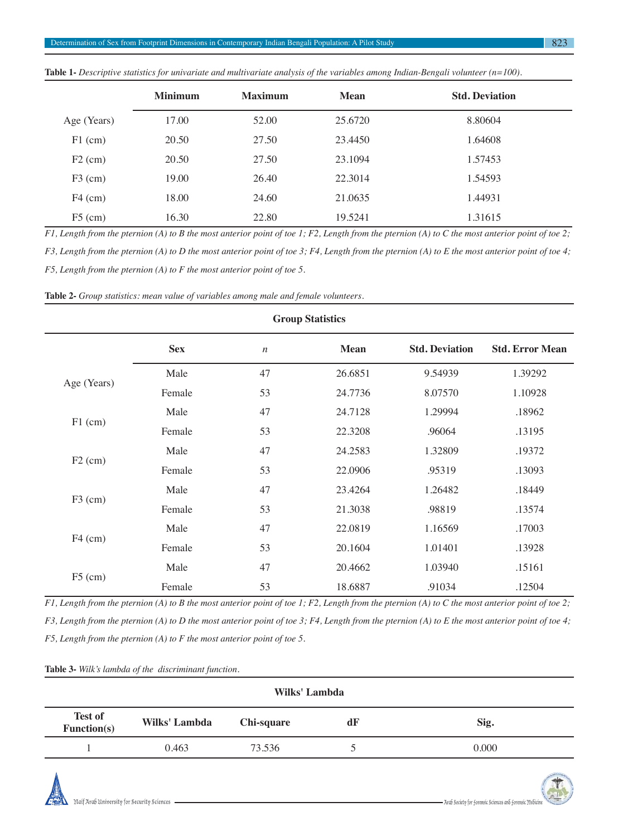|             | <b>Minimum</b> | <b>Maximum</b> | <b>Mean</b> | <b>Std. Deviation</b> |
|-------------|----------------|----------------|-------------|-----------------------|
| Age (Years) | 17.00          | 52.00          | 25.6720     | 8.80604               |
| $F1$ (cm)   | 20.50          | 27.50          | 23.4450     | 1.64608               |
| $F2$ (cm)   | 20.50          | 27.50          | 23.1094     | 1.57453               |
| $F3$ (cm)   | 19.00          | 26.40          | 22.3014     | 1.54593               |
| $F4$ (cm)   | 18.00          | 24.60          | 21.0635     | 1.44931               |
| $F5$ (cm)   | 16.30          | 22.80          | 19.5241     | 1.31615               |

**Table 1-** *Descriptive statistics for univariate and multivariate analysis of the variables among Indian-Bengali volunteer (n=100).*

*F1, Length from the pternion (A) to B the most anterior point of toe 1; F2, Length from the pternion (A) to C the most anterior point of toe 2;* 

*F3, Length from the pternion (A) to D the most anterior point of toe 3; F4, Length from the pternion (A) to E the most anterior point of toe 4;* 

*F5, Length from the pternion (A) to F the most anterior point of toe 5.*

**Table 2-** *Group statistics: mean value of variables among male and female volunteers.*

| <b>Group Statistics</b> |            |                  |             |                       |                        |
|-------------------------|------------|------------------|-------------|-----------------------|------------------------|
|                         | <b>Sex</b> | $\boldsymbol{n}$ | <b>Mean</b> | <b>Std. Deviation</b> | <b>Std. Error Mean</b> |
|                         | Male       | 47               | 26.6851     | 9.54939               | 1.39292                |
| Age (Years)             | Female     | 53               | 24.7736     | 8.07570               | 1.10928                |
| $F1$ (cm)               | Male       | 47               | 24.7128     | 1.29994               | .18962                 |
|                         | Female     | 53               | 22.3208     | .96064                | .13195                 |
|                         | Male       | 47               | 24.2583     | 1.32809               | .19372                 |
| $F2$ (cm)               | Female     | 53               | 22.0906     | .95319                | .13093                 |
|                         | Male       | 47               | 23.4264     | 1.26482               | .18449                 |
| $F3$ (cm)               | Female     | 53               | 21.3038     | .98819                | .13574                 |
|                         | Male       | 47               | 22.0819     | 1.16569               | .17003                 |
| $F4$ (cm)               | Female     | 53               | 20.1604     | 1.01401               | .13928                 |
| $F5$ (cm)               | Male       | 47               | 20.4662     | 1.03940               | .15161                 |
|                         | Female     | 53               | 18.6887     | .91034                | .12504                 |

*F1, Length from the pternion (A) to B the most anterior point of toe 1; F2, Length from the pternion (A) to C the most anterior point of toe 2; F3, Length from the pternion (A) to D the most anterior point of toe 3; F4, Length from the pternion (A) to E the most anterior point of toe 4; F5, Length from the pternion (A) to F the most anterior point of toe 5.*

|  | Table 3- Wilk's lambda of the discriminant function. |  |
|--|------------------------------------------------------|--|
|  |                                                      |  |

| Wilks' Lambda                 |               |            |            |       |  |
|-------------------------------|---------------|------------|------------|-------|--|
| <b>Test of</b><br>Function(s) | Wilks' Lambda | Chi-square | d <b>F</b> | Sig.  |  |
|                               | 0.463         | 73.536     |            | 0.000 |  |



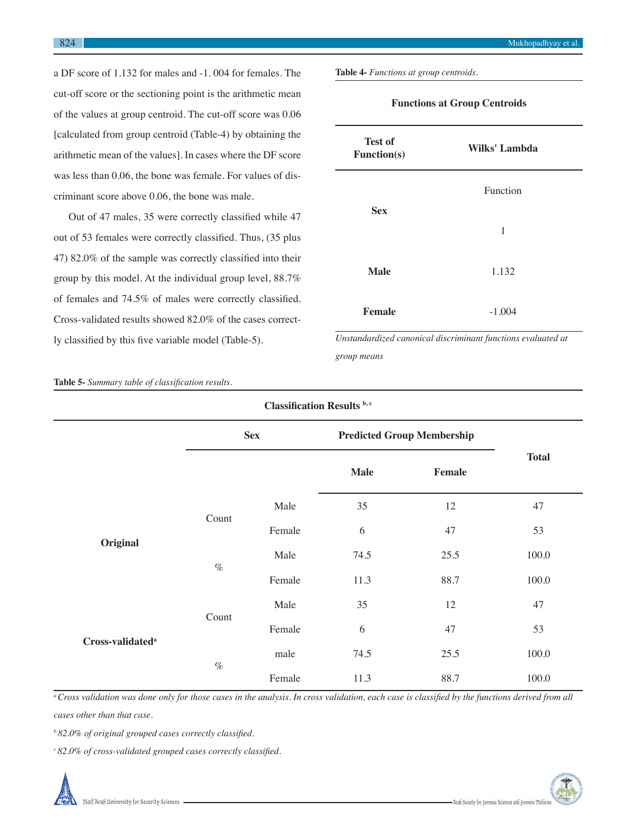a DF score of 1.132 for males and -1. 004 for females. The cut-off score or the sectioning point is the arithmetic mean of the values at group centroid. The cut-off score was 0.06 [calculated from group centroid (Table-4) by obtaining the arithmetic mean of the values]. In cases where the DF score was less than 0.06, the bone was female. For values of discriminant score above 0.06, the bone was male.

Out of 47 males, 35 were correctly classified while 47 out of 53 females were correctly classified. Thus, (35 plus 47) 82.0% of the sample was correctly classified into their group by this model. At the individual group level, 88.7% of females and 74.5% of males were correctly classified. Cross-validated results showed 82.0% of the cases correctly classified by this five variable model (Table-5).

**Table 4-** *Functions at group centroids.*

| <b>Test of</b><br><b>Function(s)</b> | Wilks' Lambda |
|--------------------------------------|---------------|
|                                      | Function      |
| <b>Sex</b>                           | 1             |
| <b>Male</b>                          | 1.132         |
| <b>Female</b>                        | $-1.004$      |

**Functions at Group Centroids**

*Unstandardized canonical discriminant functions evaluated at group means*

**Table 5-** *Summary table of classification results.*

| <b>Classification Results b,c</b> |            |        |                                   |        |              |  |
|-----------------------------------|------------|--------|-----------------------------------|--------|--------------|--|
|                                   | <b>Sex</b> |        | <b>Predicted Group Membership</b> |        |              |  |
|                                   |            |        | <b>Male</b>                       | Female | <b>Total</b> |  |
|                                   | Count      | Male   | 35                                | 12     | 47           |  |
|                                   |            | Female | 6                                 | 47     | 53           |  |
| Original                          | $\%$       | Male   | 74.5                              | 25.5   | 100.0        |  |
|                                   |            | Female | 11.3                              | 88.7   | 100.0        |  |
|                                   |            | Male   | 35                                | 12     | 47           |  |
|                                   | Count      | Female | 6                                 | 47     | 53           |  |
| Cross-validated <sup>a</sup>      | $\%$       | male   | 74.5                              | 25.5   | 100.0        |  |
|                                   |            | Female | 11.3                              | 88.7   | 100.0        |  |

*<sup>a</sup>Cross validation was done only for those cases in the analysis. In cross validation, each case is classified by the functions derived from all cases other than that case.*

*<sup>b</sup>82.0% of original grouped cases correctly classified.*

*<sup>c</sup>82.0% of cross-validated grouped cases correctly classified.*

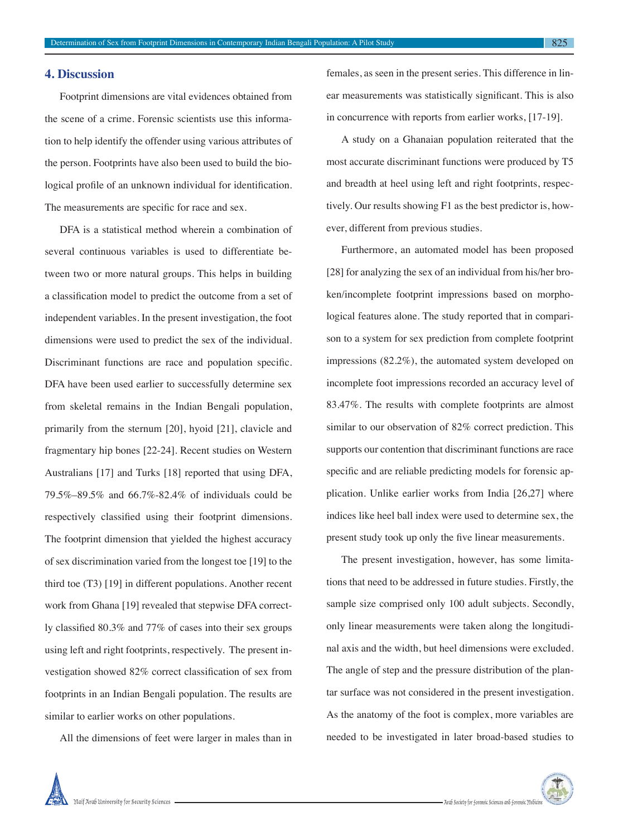#### **4. Discussion**

Footprint dimensions are vital evidences obtained from the scene of a crime. Forensic scientists use this information to help identify the offender using various attributes of the person. Footprints have also been used to build the biological profile of an unknown individual for identification. The measurements are specific for race and sex.

DFA is a statistical method wherein a combination of several continuous variables is used to differentiate between two or more natural groups. This helps in building a classification model to predict the outcome from a set of independent variables. In the present investigation, the foot dimensions were used to predict the sex of the individual. Discriminant functions are race and population specific. DFA have been used earlier to successfully determine sex from skeletal remains in the Indian Bengali population, primarily from the sternum [20], hyoid [21], clavicle and fragmentary hip bones [22-24]. Recent studies on Western Australians [17] and Turks [18] reported that using DFA, 79.5%–89.5% and 66.7%-82.4% of individuals could be respectively classified using their footprint dimensions. The footprint dimension that yielded the highest accuracy of sex discrimination varied from the longest toe [19] to the third toe (T3) [19] in different populations. Another recent work from Ghana [19] revealed that stepwise DFA correctly classified 80.3% and 77% of cases into their sex groups using left and right footprints, respectively. The present investigation showed 82% correct classification of sex from footprints in an Indian Bengali population. The results are similar to earlier works on other populations.

All the dimensions of feet were larger in males than in

females, as seen in the present series. This difference in linear measurements was statistically significant. This is also in concurrence with reports from earlier works, [17-19].

A study on a Ghanaian population reiterated that the most accurate discriminant functions were produced by T5 and breadth at heel using left and right footprints, respectively. Our results showing F1 as the best predictor is, however, different from previous studies.

Furthermore, an automated model has been proposed [28] for analyzing the sex of an individual from his/her broken/incomplete footprint impressions based on morphological features alone. The study reported that in comparison to a system for sex prediction from complete footprint impressions (82.2%), the automated system developed on incomplete foot impressions recorded an accuracy level of 83.47%. The results with complete footprints are almost similar to our observation of 82% correct prediction. This supports our contention that discriminant functions are race specific and are reliable predicting models for forensic application. Unlike earlier works from India [26,27] where indices like heel ball index were used to determine sex, the present study took up only the five linear measurements.

The present investigation, however, has some limitations that need to be addressed in future studies. Firstly, the sample size comprised only 100 adult subjects. Secondly, only linear measurements were taken along the longitudinal axis and the width, but heel dimensions were excluded. The angle of step and the pressure distribution of the plantar surface was not considered in the present investigation. As the anatomy of the foot is complex, more variables are needed to be investigated in later broad-based studies to

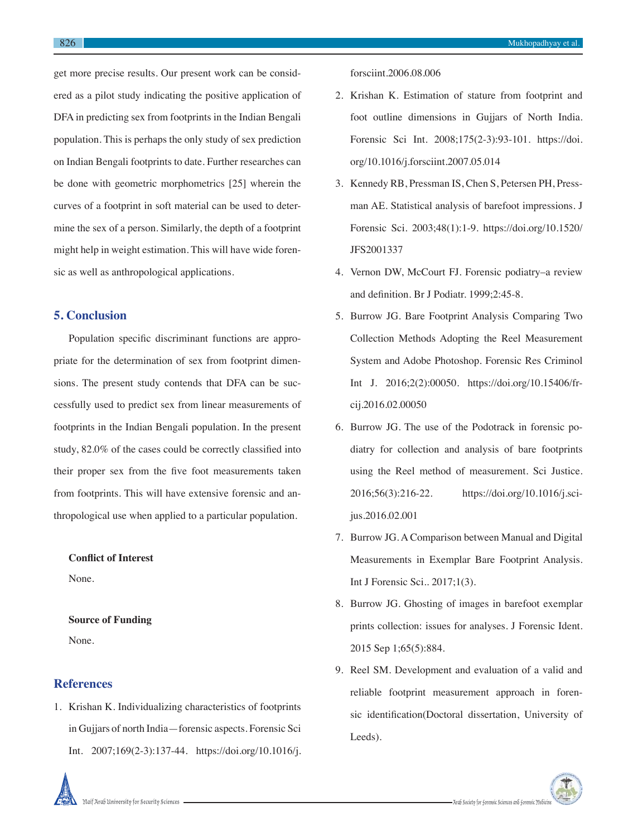get more precise results. Our present work can be considered as a pilot study indicating the positive application of DFA in predicting sex from footprints in the Indian Bengali population. This is perhaps the only study of sex prediction on Indian Bengali footprints to date. Further researches can be done with geometric morphometrics [25] wherein the curves of a footprint in soft material can be used to determine the sex of a person. Similarly, the depth of a footprint might help in weight estimation. This will have wide forensic as well as anthropological applications.

### **5. Conclusion**

Population specific discriminant functions are appropriate for the determination of sex from footprint dimensions. The present study contends that DFA can be successfully used to predict sex from linear measurements of footprints in the Indian Bengali population. In the present study, 82.0% of the cases could be correctly classified into their proper sex from the five foot measurements taken from footprints. This will have extensive forensic and anthropological use when applied to a particular population.

**Conflict of Interest** None.

**Source of Funding** None.

#### **References**

1. Krishan K. Individualizing characteristics of footprints in Gujjars of north India—forensic aspects. Forensic Sci Int. 2007;169(2-3):137-44. https://doi.org/10.1016/j.

forsciint.2006.08.006

- 2. Krishan K. Estimation of stature from footprint and foot outline dimensions in Gujjars of North India. Forensic Sci Int. 2008;175(2-3):93-101. https://doi. org/10.1016/j.forsciint.2007.05.014
- 3. Kennedy RB, Pressman IS, Chen S, Petersen PH, Pressman AE. Statistical analysis of barefoot impressions. J Forensic Sci. 2003;48(1):1-9. https://doi.org/10.1520/ JFS2001337
- 4. Vernon DW, McCourt FJ. Forensic podiatry–a review and definition. Br J Podiatr. 1999;2:45-8.
- 5. Burrow JG. Bare Footprint Analysis Comparing Two Collection Methods Adopting the Reel Measurement System and Adobe Photoshop. Forensic Res Criminol Int J. 2016;2(2):00050. https://doi.org/10.15406/frcij.2016.02.00050
- 6. Burrow JG. The use of the Podotrack in forensic podiatry for collection and analysis of bare footprints using the Reel method of measurement. Sci Justice. 2016;56(3):216-22. https://doi.org/10.1016/j.scijus.2016.02.001
- 7. Burrow JG. A Comparison between Manual and Digital Measurements in Exemplar Bare Footprint Analysis. Int J Forensic Sci.. 2017;1(3).
- 8. Burrow JG. Ghosting of images in barefoot exemplar prints collection: issues for analyses. J Forensic Ident. 2015 Sep 1;65(5):884.
- 9. Reel SM. Development and evaluation of a valid and reliable footprint measurement approach in forensic identification(Doctoral dissertation, University of Leeds).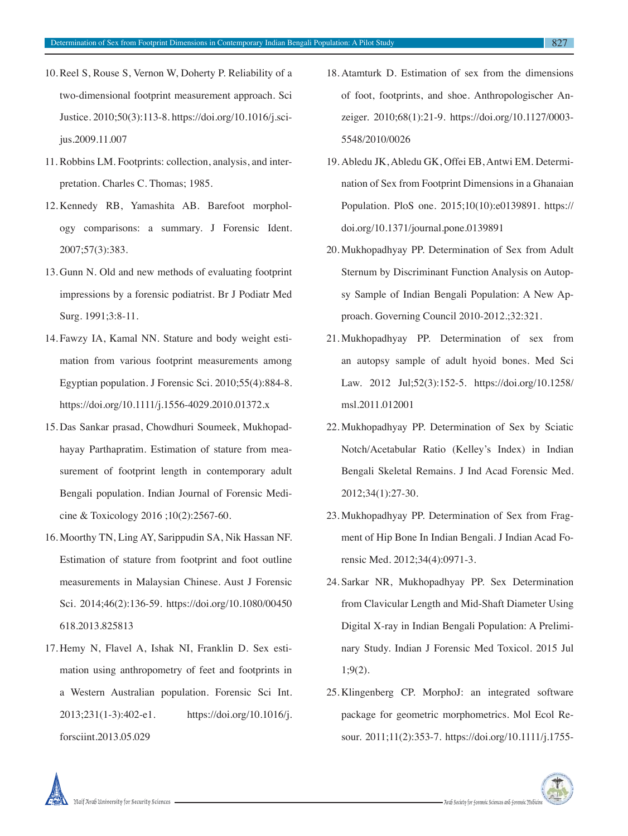- 10. Reel S, Rouse S, Vernon W, Doherty P. Reliability of a two-dimensional footprint measurement approach. Sci Justice. 2010;50(3):113-8. https://doi.org/10.1016/j.scijus.2009.11.007
- 11. Robbins LM. Footprints: collection, analysis, and interpretation. Charles C. Thomas; 1985.
- 12. Kennedy RB, Yamashita AB. Barefoot morphology comparisons: a summary. J Forensic Ident. 2007;57(3):383.
- 13. Gunn N. Old and new methods of evaluating footprint impressions by a forensic podiatrist. Br J Podiatr Med Surg. 1991;3:8-11.
- 14. Fawzy IA, Kamal NN. Stature and body weight estimation from various footprint measurements among Egyptian population. J Forensic Sci. 2010;55(4):884-8. https://doi.org/10.1111/j.1556-4029.2010.01372.x
- 15. Das Sankar prasad, Chowdhuri Soumeek, Mukhopadhayay Parthapratim. Estimation of stature from measurement of footprint length in contemporary adult Bengali population. Indian Journal of Forensic Medicine & Toxicology 2016 ;10(2):2567-60.
- 16. Moorthy TN, Ling AY, Sarippudin SA, Nik Hassan NF. Estimation of stature from footprint and foot outline measurements in Malaysian Chinese. Aust J Forensic Sci. 2014;46(2):136-59. https://doi.org/10.1080/00450 618.2013.825813
- 17. Hemy N, Flavel A, Ishak NI, Franklin D. Sex estimation using anthropometry of feet and footprints in a Western Australian population. Forensic Sci Int. 2013;231(1-3):402-e1. https://doi.org/10.1016/j. forsciint.2013.05.029
- 18. Atamturk D. Estimation of sex from the dimensions of foot, footprints, and shoe. Anthropologischer Anzeiger. 2010;68(1):21-9. https://doi.org/10.1127/0003- 5548/2010/0026
- 19. Abledu JK, Abledu GK, Offei EB, Antwi EM. Determination of Sex from Footprint Dimensions in a Ghanaian Population. PloS one. 2015;10(10):e0139891. https:// doi.org/10.1371/journal.pone.0139891
- 20. Mukhopadhyay PP. Determination of Sex from Adult Sternum by Discriminant Function Analysis on Autopsy Sample of Indian Bengali Population: A New Approach. Governing Council 2010-2012.;32:321.
- 21. Mukhopadhyay PP. Determination of sex from an autopsy sample of adult hyoid bones. Med Sci Law. 2012 Jul;52(3):152-5. https://doi.org/10.1258/ msl.2011.012001
- 22. Mukhopadhyay PP. Determination of Sex by Sciatic Notch/Acetabular Ratio (Kelley's Index) in Indian Bengali Skeletal Remains. J Ind Acad Forensic Med. 2012;34(1):27-30.
- 23. Mukhopadhyay PP. Determination of Sex from Fragment of Hip Bone In Indian Bengali. J Indian Acad Forensic Med. 2012;34(4):0971-3.
- 24. Sarkar NR, Mukhopadhyay PP. Sex Determination from Clavicular Length and Mid-Shaft Diameter Using Digital X-ray in Indian Bengali Population: A Preliminary Study. Indian J Forensic Med Toxicol. 2015 Jul 1;9(2).
- 25. Klingenberg CP. MorphoJ: an integrated software package for geometric morphometrics. Mol Ecol Resour. 2011;11(2):353-7. https://doi.org/10.1111/j.1755-